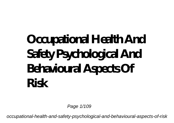# **Occupational Health And Safety Psychological And Behavioural Aspects Of Risk**

Page  $1/109$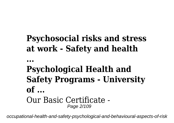### **Psychosocial risks and stress at work - Safety and health**

**...**

### **Psychological Health and Safety Programs - University of ...** Our Basic Certificate - Page 2/109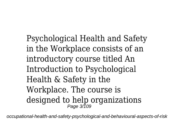Psychological Health and Safety in the Workplace consists of an introductory course titled An Introduction to Psychological Health & Safety in the Workplace. The course is designed to help organizations Page 3/109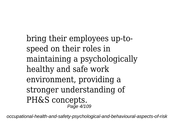bring their employees up-tospeed on their roles in maintaining a psychologically healthy and safe work environment, providing a stronger understanding of PH&S concepts. Page 4/109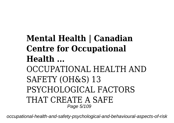### **Mental Health | Canadian Centre for Occupational Health ...** OCCUPATIONAL HEALTH AND SAFETY (OH&S) 13 PSYCHOLOGICAL FACTORS THAT CREATE A SAFE Page 5/109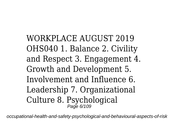WORKPLACE AUGUST 2019 OHS040 1. Balance 2. Civility and Respect 3. Engagement 4. Growth and Development 5. Involvement and Influence 6. Leadership 7. Organizational Culture 8. Psychological Page 6/109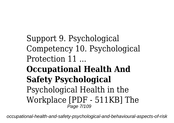Support 9. Psychological Competency 10. Psychological Protection 11 ...

**Occupational Health And Safety Psychological** Psychological Health in the Workplace [PDF - 511KB] The Page 7/109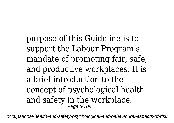purpose of this Guideline is to support the Labour Program's mandate of promoting fair, safe, and productive workplaces. It is a brief introduction to the concept of psychological health and safety in the workplace. Page 8/109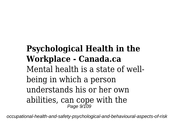### **Psychological Health in the Workplace - Canada.ca** Mental health is a state of wellbeing in which a person understands his or her own abilities, can cope with the Page 9/109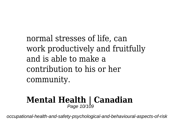normal stresses of life, can work productively and fruitfully and is able to make a contribution to his or her community.

# **Mental Health | Canadian** Page 10/109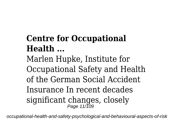## **Centre for Occupational Health ...**

Marlen Hupke, Institute for Occupational Safety and Health of the German Social Accident Insurance In recent decades significant changes, closely Page 11/109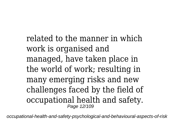related to the manner in which work is organised and managed, have taken place in the world of work; resulting in many emerging risks and new challenges faced by the field of occupational health and safety. Page 12/109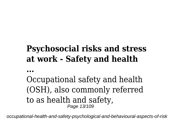### **Psychosocial risks and stress at work - Safety and health**

**...**

Occupational safety and health (OSH), also commonly referred to as health and safety, Page 13/109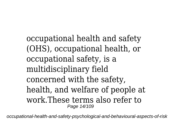occupational health and safety (OHS), occupational health, or occupational safety, is a multidisciplinary field concerned with the safety, health, and welfare of people at work.These terms also refer to Page 14/109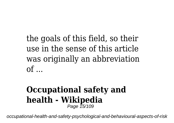the goals of this field, so their use in the sense of this article was originally an abbreviation  $of$  ...

#### **Occupational safety and health - Wikipedia** Page 15/109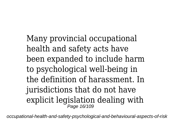Many provincial occupational health and safety acts have been expanded to include harm to psychological well-being in the definition of harassment. In jurisdictions that do not have explicit legislation dealing with Page 16/109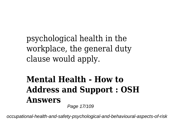psychological health in the workplace, the general duty clause would apply.

#### **Mental Health - How to Address and Support : OSH Answers** Page 17/109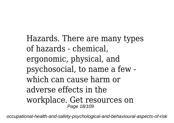Hazards. There are many types of hazards - chemical, ergonomic, physical, and psychosocial, to name a few which can cause harm or adverse effects in the workplace. Get resources on Page 18/109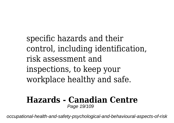specific hazards and their control, including identification, risk assessment and inspections, to keep your workplace healthy and safe.

#### **Hazards - Canadian Centre** Page 19/109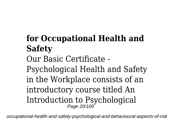## **for Occupational Health and Safety** Our Basic Certificate -

Psychological Health and Safety in the Workplace consists of an introductory course titled An Introduction to Psychological Page 20/109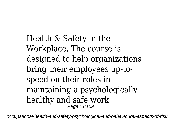Health & Safety in the Workplace. The course is designed to help organizations bring their employees up-tospeed on their roles in maintaining a psychologically healthy and safe work Page 21/109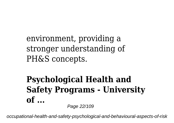environment, providing a stronger understanding of PH&S concepts.

#### **Psychological Health and Safety Programs - University of ...** Page 22/109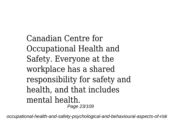Canadian Centre for Occupational Health and Safety. Everyone at the workplace has a shared responsibility for safety and health, and that includes mental health. Page 23/109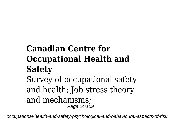## **Canadian Centre for Occupational Health and Safety**

Survey of occupational safety and health; Job stress theory and mechanisms; Page 24/109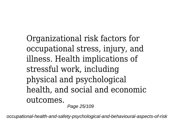Organizational risk factors for occupational stress, injury, and illness. Health implications of stressful work, including physical and psychological health, and social and economic outcomes.

Page 25/109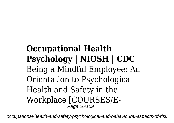### **Occupational Health Psychology | NIOSH | CDC** Being a Mindful Employee: An Orientation to Psychological Health and Safety in the Workplace [COURSES/E-Page 26/109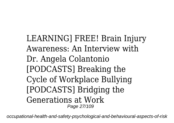LEARNING] FREE! Brain Injury Awareness: An Interview with Dr. Angela Colantonio [PODCASTS] Breaking the Cycle of Workplace Bullying [PODCASTS] Bridging the Generations at Work Page 27/109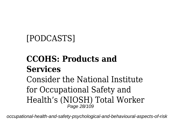### [PODCASTS]

### **CCOHS: Products and Services**

Consider the National Institute for Occupational Safety and Health's (NIOSH) Total Worker Page 28/109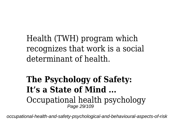Health (TWH) program which recognizes that work is a social determinant of health.

#### **The Psychology of Safety: It's a State of Mind ...** Occupational health psychology Page 29/109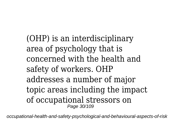(OHP) is an interdisciplinary area of psychology that is concerned with the health and safety of workers. OHP addresses a number of major topic areas including the impact of occupational stressors on Page 30/109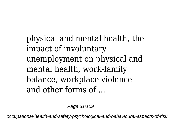physical and mental health, the impact of involuntary unemployment on physical and mental health, work-family balance, workplace violence and other forms of ...

Page 31/109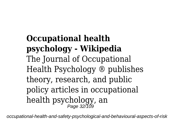**Occupational health psychology - Wikipedia** The Journal of Occupational Health Psychology ® publishes theory, research, and public policy articles in occupational health psychology, an Page 32/109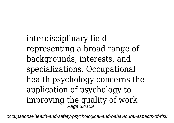interdisciplinary field representing a broad range of backgrounds, interests, and specializations. Occupational health psychology concerns the application of psychology to improving the quality of work Page 33/109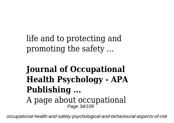life and to protecting and promoting the safety ...

## **Journal of Occupational Health Psychology - APA Publishing ...**

A page about occupational<br>Page 34/109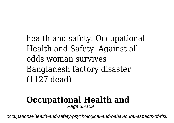health and safety. Occupational Health and Safety. Against all odds woman survives Bangladesh factory disaster (1127 dead)

#### **Occupational Health and** Page 35/109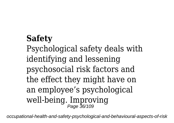## **Safety** Psychological safety deals with identifying and lessening psychosocial risk factors and the effect they might have on an employee's psychological well-being. Improving Page 36/109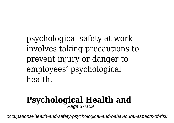psychological safety at work involves taking precautions to prevent injury or danger to employees' psychological health.

#### **Psychological Health and** Page 37/109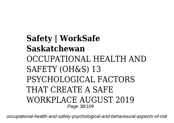**Safety | WorkSafe Saskatchewan** OCCUPATIONAL HEALTH AND SAFETY (OH&S) 13 PSYCHOLOGICAL FACTORS THAT CREATE A SAFE WORKPLACE AUGUST 2019 Page 38/109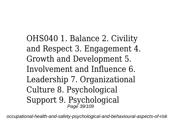OHS040 1. Balance 2. Civility and Respect 3. Engagement 4. Growth and Development 5. Involvement and Influence 6. Leadership 7. Organizational Culture 8. Psychological Support 9. Psychological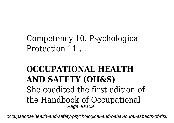Competency 10. Psychological Protection 11 ...

### **OCCUPATIONAL HEALTH AND SAFETY (OH&S)** She coedited the first edition of the Handbook of Occupational Page 40/109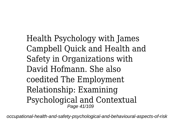Health Psychology with James Campbell Quick and Health and Safety in Organizations with David Hofmann. She also coedited The Employment Relationship: Examining Psychological and Contextual Page 41/109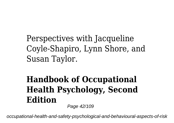Perspectives with Jacqueline Coyle-Shapiro, Lynn Shore, and Susan Taylor.

# **Handbook of Occupational Health Psychology, Second Edition**

Page 42/109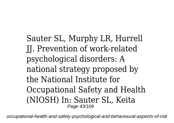Sauter SL, Murphy LR, Hurrell JJ. Prevention of work-related psychological disorders: A national strategy proposed by the National Institute for Occupational Safety and Health (NIOSH) In: Sauter SL, Keita Page 43/109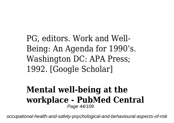PG, editors. Work and Well-Being: An Agenda for 1990's. Washington DC: APA Press; 1992. [Google Scholar]

#### **Mental well-being at the workplace - PubMed Central** Page 44/109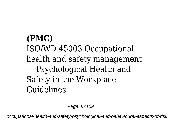# **(PMC)** ISO/WD 45003 Occupational health and safety management — Psychological Health and Safety in the Workplace — Guidelines

Page 45/109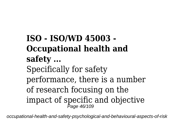**ISO - ISO/WD 45003 - Occupational health and safety ...** Specifically for safety performance, there is a number of research focusing on the impact of specific and objective Page 46/109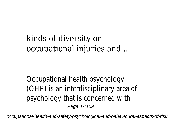# kinds of diversity on occupational injuries and ...

Occupational health psychology (OHP) is an interdisciplinary area of psychology that is concerned with Page 47/109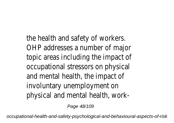the health and safety of workers. OHP addresses a number of major topic areas including the impact of occupational stressors on physical and mental health, the impact of involuntary unemployment on physical and mental health, work-

Page 48/109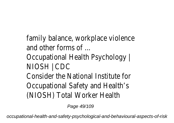family balance, workplace violence and other forms of ... Occupational Health Psychology | NIOSH | CDC Consider the National Institute for Occupational Safety and Health's (NIOSH) Total Worker Health

Page 49/109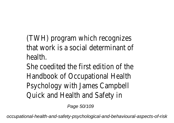(TWH) program which recognizes that work is a social determinant of health.

She coedited the first edition of the Handbook of Occupational Health Psychology with James Campbell Quick and Health and Safety in

Page 50/109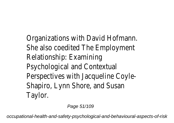Organizations with David Hofmann. She also coedited The Employment Relationship: Examining Psychological and Contextual Perspectives with Jacqueline Coyle-Shapiro, Lynn Shore, and Susan Taylor.

Page 51/109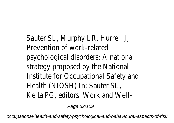Sauter SL, Murphy LR, Hurrell JJ. Prevention of work-related psychological disorders: A national strategy proposed by the National Institute for Occupational Safety and Health (NIOSH) In: Sauter SL, Keita PG, editors. Work and Well-

Page 52/109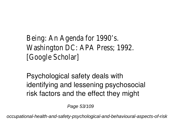Being: An Agenda for 1990's. Washington DC: APA Press; 1992. [Google Scholar]

Psychological safety deals with identifying and lessening psychosocial risk factors and the effect they might

Page 53/109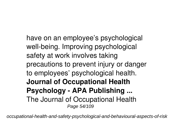have on an employee's psychological well-being. Improving psychological safety at work involves taking precautions to prevent injury or danger to employees' psychological health. **Journal of Occupational Health Psychology - APA Publishing ...** The Journal of Occupational Health Page 54/109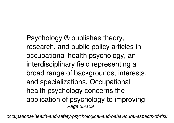Psychology ® publishes theory, research, and public policy articles in occupational health psychology, an interdisciplinary field representing a broad range of backgrounds, interests, and specializations. Occupational health psychology concerns the application of psychology to improving Page 55/109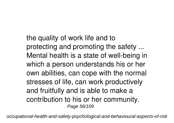the quality of work life and to protecting and promoting the safety ... Mental health is a state of well-being in which a person understands his or her own abilities, can cope with the normal stresses of life, can work productively and fruitfully and is able to make a contribution to his or her community. Page 56/109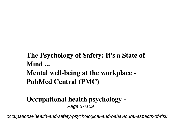**The Psychology of Safety: It's a State of Mind ... Mental well-being at the workplace -**

**PubMed Central (PMC)**

#### **Occupational health psychology -** Page 57/109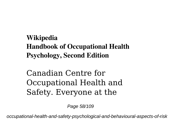### **Wikipedia Handbook of Occupational Health Psychology, Second Edition**

Canadian Centre for Occupational Health and Safety. Everyone at the

Page 58/109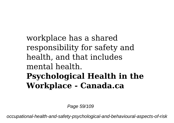## workplace has a shared responsibility for safety and health, and that includes mental health. **Psychological Health in the Workplace - Canada.ca**

Page 59/109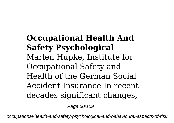# **Occupational Health And Safety Psychological** Marlen Hupke, Institute for Occupational Safety and Health of the German Social Accident Insurance In recent decades significant changes,

Page 60/109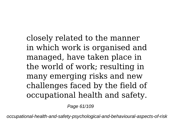closely related to the manner in which work is organised and managed, have taken place in the world of work; resulting in many emerging risks and new challenges faced by the field of occupational health and safety.

Page 61/109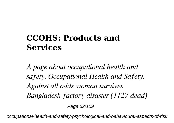## **CCOHS: Products and Services**

*A page about occupational health and safety. Occupational Health and Safety. Against all odds woman survives Bangladesh factory disaster (1127 dead)*

Page 62/109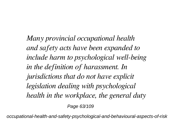*Many provincial occupational health and safety acts have been expanded to include harm to psychological well-being in the definition of harassment. In jurisdictions that do not have explicit legislation dealing with psychological health in the workplace, the general duty* Page 63/109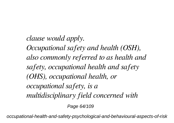*clause would apply. Occupational safety and health (OSH), also commonly referred to as health and safety, occupational health and safety (OHS), occupational health, or occupational safety, is a multidisciplinary field concerned with*

Page 64/109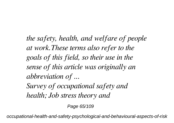*the safety, health, and welfare of people at work.These terms also refer to the goals of this field, so their use in the sense of this article was originally an abbreviation of ...*

*Survey of occupational safety and health; Job stress theory and*

Page 65/109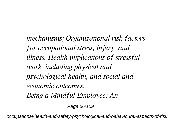*mechanisms; Organizational risk factors for occupational stress, injury, and illness. Health implications of stressful work, including physical and psychological health, and social and economic outcomes. Being a Mindful Employee: An*

Page 66/109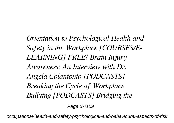*Orientation to Psychological Health and Safety in the Workplace [COURSES/E-LEARNING] FREE! Brain Injury Awareness: An Interview with Dr. Angela Colantonio [PODCASTS] Breaking the Cycle of Workplace Bullying [PODCASTS] Bridging the*

Page 67/109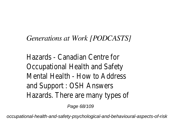### *Generations at Work [PODCASTS]*

Hazards - Canadian Centre for Occupational Health and Safety Mental Health - How to Address and Support : OSH Answers Hazards. There are many types of

Page 68/109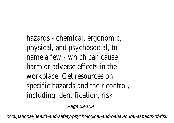hazards - chemical, ergonomic, physical, and psychosocial, to name a few - which can cause harm or adverse effects in the workplace. Get resources on specific hazards and their control, including identification, risk

Page 69/109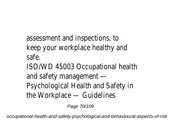assessment and inspections, to keep your workplace healthy and safe.

ISO/WD 45003 Occupational health and safety management — Psychological Health and Safety in the Workplace — Guidelines

Page 70/109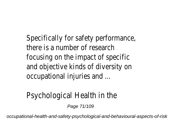Specifically for safety performance, there is a number of research focusing on the impact of specific and objective kinds of diversity on occupational injuries and ...

### Psychological Health in the

Page 71/109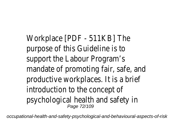Workplace [PDF - 511KB] The purpose of this Guideline is to support the Labour Program's mandate of promoting fair, safe, and productive workplaces. It is a brief introduction to the concept of psychological health and safety in Page 72/109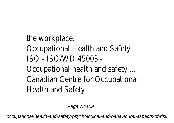# the workplace.

- Occupational Health and Safety ISO - ISO/WD 45003 -
- Occupational health and safety ... Canadian Centre for Occupational Health and Safety

Page 73/109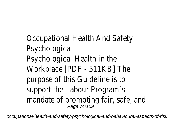Occupational Health And Safety Psychological Psychological Health in the Workplace [PDF - 511KB] The purpose of this Guideline is to support the Labour Program's mandate of promoting fair, safe,<br>Page 74/109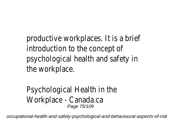productive workplaces. It is a bri introduction to the concept of psychological health and safety in the workplace.

Psychological Health in the Workplace - Canada.ca Page 75/109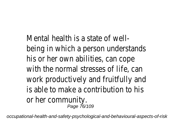Mental health is a state of wellbeing in which a person understands his or her own abilities, can cope with the normal stresses of life, work productively and fruitfully and is able to make a contribution to or her community. Page 76/109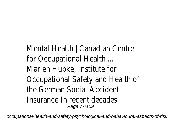Mental Health | Canadian Centre for Occupational Health ... Marlen Hupke, Institute for Occupational Safety and Health of the German Social Accident Insurance In recent decades Page 77/109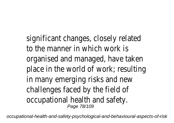significant changes, closely relate to the manner in which work is organised and managed, have tak place in the world of work; result in many emerging risks and new challenges faced by the field of occupational health and safety. Page 78/109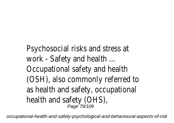# Psychosocial risks and stress at work - Safety and health ... Occupational safety and health (OSH), also commonly referred to as health and safety, occupation health and safety (OHS), Page 79/109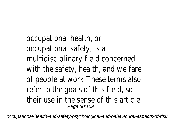occupational health, or occupational safety, is a multidisciplinary field concerned with the safety, health, and welf of people at work. These terms a refer to the goals of this field, so their use in the sense of this art Page 80/109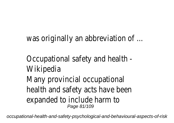was originally an abbreviation of

Occupational safety and health - Wikipedia Many provincial occupational health and safety acts have been expanded to include harm to Page 81/109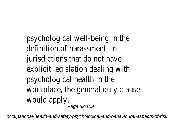psychological well-being in the definition of harassment. In jurisdictions that do not have explicit legislation dealing with psychological health in the workplace, the general duty claus would apply. Page 82/109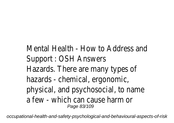# Mental Health - How to Address Support : OSH Answers Hazards. There are many types of hazards - chemical, ergonomic, physical, and psychosocial, to nare a few - which can cause harm or Page 83/109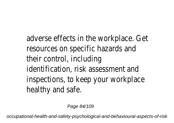adverse effects in the workplace. resources on specific hazards an their control, including identification, risk assessment are inspections, to keep your workpl healthy and safe.

Page 84/109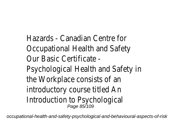Hazards - Canadian Centre for Occupational Health and Safety Our Basic Certificate -

Psychological Health and Safety the Workplace consists of an introductory course titled An Introduction to Psychological Page 85/109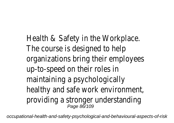Health & Safety in the Workplace. The course is designed to help organizations bring their employe up-to-speed on their roles in maintaining a psychologically healthy and safe work environment providing a stronger understandir<br>Page 86/109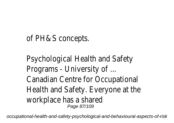# of PH&S concepts.

Psychological Health and Safety Programs - University of ... Canadian Centre for Occupational Health and Safety. Everyone at the workplace has a shared Page 87/109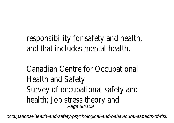responsibility for safety and heal and that includes mental health.

Canadian Centre for Occupationa Health and Safety Survey of occupational safety and health; Job stress theory and Page 88/109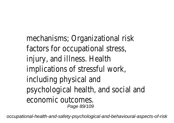mechanisms; Organizational risk factors for occupational stress, injury, and illness. Health implications of stressful work, including physical and psychological health, and social a economic outcomes. Page 89/109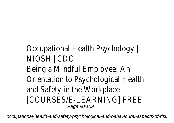# Occupational Health Psychology | NIOSH | CDC Being a Mindful Employee: An Orientation to Psychological Heal and Safety in the Workplace [COURSES/E-LEARNING] FREE! Page 90/109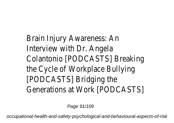Brain Injury Awareness: An Interview with Dr. Angela Colantonio [PODCASTS] Breaking the Cycle of Workplace Bullying [PODCASTS] Bridging the Generations at Work [PODCASTS]

Page 91/109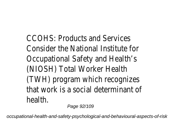CCOHS: Products and Services Consider the National Institute for Occupational Safety and Health's (NIOSH) Total Worker Health (TWH) program which recognizes that work is a social determinant health.

Page 92/109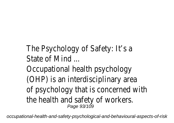# The Psychology of Safety: It's a State of Mind

Occupational health psychology (OHP) is an interdisciplinary area of psychology that is concerned the health and safety of workers. Page 93/109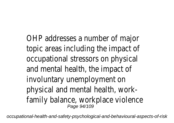OHP addresses a number of major topic areas including the impact occupational stressors on physic and mental health, the impact of involuntary unemployment on physical and mental health, workfamily balance, workplace violenc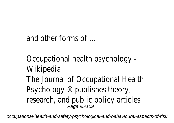# and other forms of ...

Occupational health psychology - Wikipedia The Journal of Occupational Heal Psychology ® publishes theory, research, and public policy article Page 95/109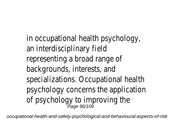in occupational health psychology an interdisciplinary field representing a broad range of backgrounds, interests, and specializations. Occupational heal psychology concerns the application of psychology to improving the<br>Page 96/109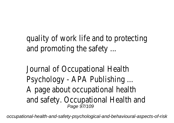quality of work life and to proted and promoting the safety ...

Journal of Occupational Health Psychology - APA Publishing ... A page about occupational health and safety. Occupational Health and safety.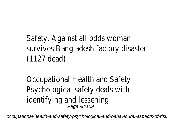Safety. Against all odds woman survives Bangladesh factory disater (1127 dead)

Occupational Health and Safety Psychological safety deals with identifying and lessening Page 98/109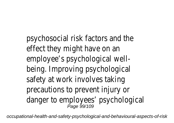psychosocial risk factors and the effect they might have on an employee's psychological wellbeing. Improving psychological safety at work involves taking precautions to prevent injury or danger to employees' psychologid<br><sup>Page 99/109</sup>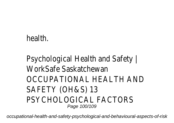### health.

# Psychological Health and Safety | WorkSafe Saskatchewan OCCUPATIONAL HEALTH AND SAFETY (OH&S) 13 PSYCHOLOGICAL FACTORS Page 100/109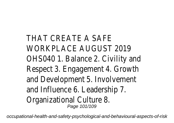THAT CREATE A SAFE WORKPLACE AUGUST 2019 OHSO4O 1. Balance 2. Civility and Respect 3. Engagement 4. Growt and Development 5. Involvement and Influence 6. Leadership 7. Organizational Culture 8. Page 101/109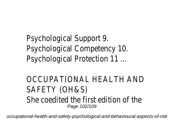# Psychological Support 9. Psychological Competency 10. Psychological Protection 11 ...

### OCCUPATIONAL HEALTH AND SAFETY (OH&S) She coedited the first edition of Page 102/109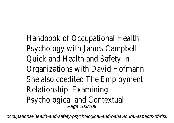Handbook of Occupational Health Psychology with James Campbell Quick and Health and Safety in Organizations with David Hofmar. She also coedited The Employmer Relationship: Examining Psychological and Contextual<br>Page 103/109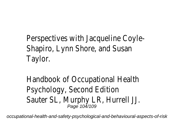Perspectives with Jacqueline Coy Shapiro, Lynn Shore, and Susan Taylor.

Handbook of Occupational Health Psychology, Second Edition Sauter SL, Murphy LR, Hurrell JJ.<br>Page 104/109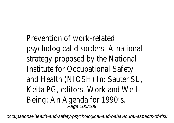Prevention of work-related psychological disorders: A national strategy proposed by the Nation Institute for Occupational Safety and Health (NIOSH) In: Sauter SL, Keita PG, editors. Work and Well-Being: An Agenda for 1990's.<br>Page 105/109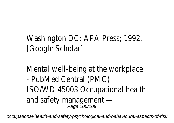# Washington DC: APA Press; 1992. [Google Scholar]

Mental well-being at the workpland - PubMed Central (PMC) ISO/WD 45003 Occupational hea and safety management  $-$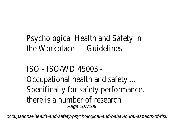Psychological Health and Safety the Workplace — Guidelines

ISO - ISO/WD 45003 - Occupational health and safety ... Specifically for safety performane there is a number of research Page 107/109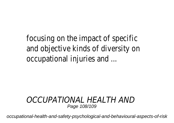focusing on the impact of specif and objective kinds of diversity on occupational injuries and ...

#### *OCCUPATIONAL HEALTH AND* Page 108/109